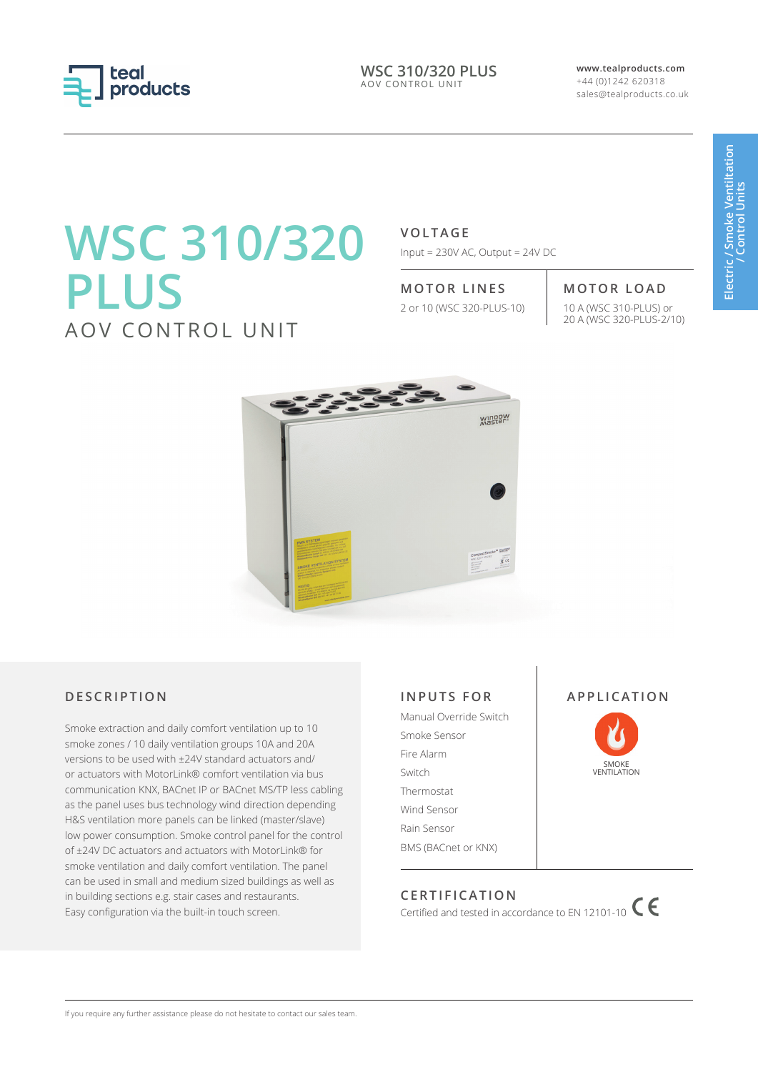

**WSC 310/320 PLUS** AOV CONTROL UNIT

**www.tealproducts.com** +44 (0)1242 620318 sales@tealproducts.co.uk

# **WSC 310/320 PLUS** AOV CONTROL UNIT

**VOLTAGE**

Input = 230V AC, Output = 24V DC

# **MOTOR LINES MOTOR LOAD**

2 or 10 (WSC 320-PLUS-10) 10 A (WSC 310-PLUS) or

# 20 A (WSC 320-PLUS-2/10)



# **DESCRIPTION**

Smoke extraction and daily comfort ventilation up to 10 smoke zones / 10 daily ventilation groups 10A and 20A versions to be used with ±24V standard actuators and/ or actuators with MotorLink® comfort ventilation via bus communication KNX, BACnet IP or BACnet MS/TP less cabling as the panel uses bus technology wind direction depending H&S ventilation more panels can be linked (master/slave) low power consumption. Smoke control panel for the control of ±24V DC actuators and actuators with MotorLink® for smoke ventilation and daily comfort ventilation. The panel can be used in small and medium sized buildings as well as in building sections e.g. stair cases and restaurants. Easy configuration via the built-in touch screen.

## **INPUTS FOR**

Manual Override Switch Smoke Sensor Fire Alarm Switch Thermostat Wind Sensor Rain Sensor BMS (BACnet or KNX)





# **CERTIFICATION**

Certified and tested in accordance to EN 12101-10  $\mathsf{C}$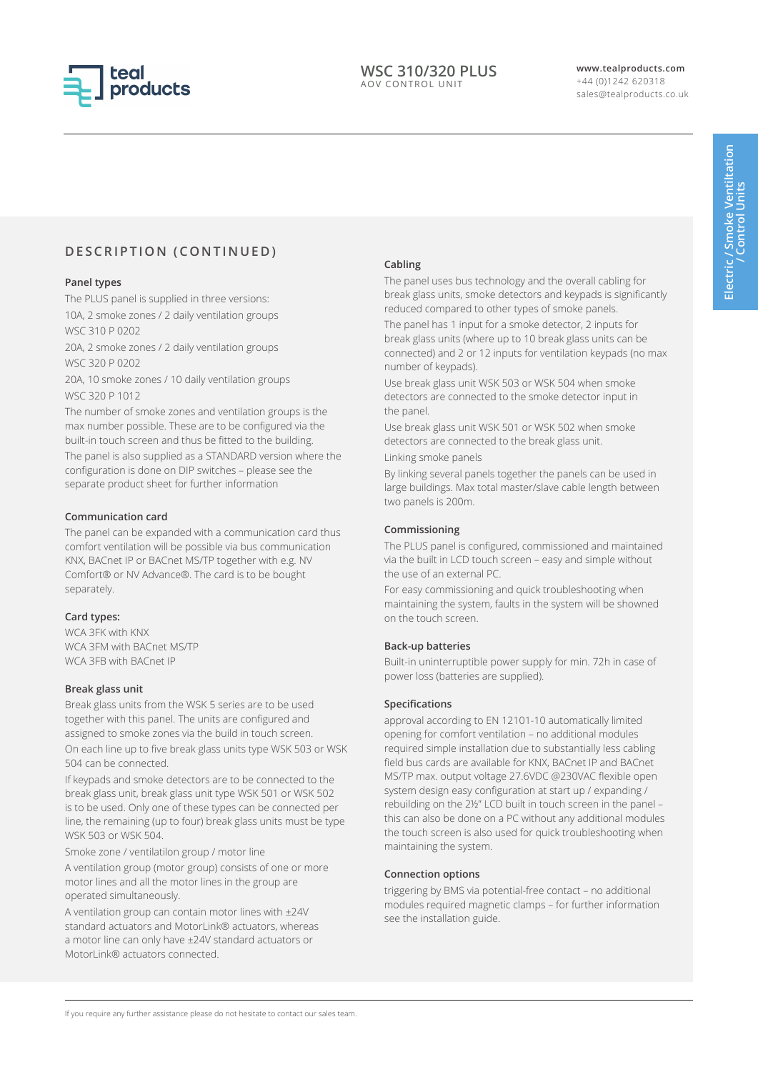

# **DESCRIPTION (CONTINUED)**

#### **Panel types**

The PLUS panel is supplied in three versions: 10A, 2 smoke zones / 2 daily ventilation groups WSC 310 P 0202

20A, 2 smoke zones / 2 daily ventilation groups WSC 320 P 0202

20A, 10 smoke zones / 10 daily ventilation groups WSC 320 P 1012

The number of smoke zones and ventilation groups is the max number possible. These are to be configured via the built-in touch screen and thus be fitted to the building.

The panel is also supplied as a STANDARD version where the configuration is done on DIP switches – please see the separate product sheet for further information

#### **Communication card**

The panel can be expanded with a communication card thus comfort ventilation will be possible via bus communication KNX, BACnet IP or BACnet MS/TP together with e.g. NV Comfort® or NV Advance®. The card is to be bought separately.

#### **Card types:**

WCA 3FK with KNX WCA 3FM with BACnet MS/TP WCA 3FB with BACnet IP

#### **Break glass unit**

Break glass units from the WSK 5 series are to be used together with this panel. The units are configured and assigned to smoke zones via the build in touch screen. On each line up to five break glass units type WSK 503 or WSK 504 can be connected.

If keypads and smoke detectors are to be connected to the break glass unit, break glass unit type WSK 501 or WSK 502 is to be used. Only one of these types can be connected per line, the remaining (up to four) break glass units must be type WSK 503 or WSK 504.

Smoke zone / ventilatilon group / motor line

A ventilation group (motor group) consists of one or more motor lines and all the motor lines in the group are operated simultaneously.

A ventilation group can contain motor lines with ±24V standard actuators and MotorLink® actuators, whereas a motor line can only have ±24V standard actuators or MotorLink® actuators connected.

#### **Cabling**

The panel uses bus technology and the overall cabling for break glass units, smoke detectors and keypads is significantly reduced compared to other types of smoke panels.

The panel has 1 input for a smoke detector, 2 inputs for break glass units (where up to 10 break glass units can be connected) and 2 or 12 inputs for ventilation keypads (no max number of keypads).

Use break glass unit WSK 503 or WSK 504 when smoke detectors are connected to the smoke detector input in the panel.

Use break glass unit WSK 501 or WSK 502 when smoke detectors are connected to the break glass unit.

Linking smoke panels

By linking several panels together the panels can be used in large buildings. Max total master/slave cable length between two panels is 200m.

#### **Commissioning**

The PLUS panel is configured, commissioned and maintained via the built in LCD touch screen – easy and simple without the use of an external PC.

For easy commissioning and quick troubleshooting when maintaining the system, faults in the system will be showned on the touch screen.

### **Back-up batteries**

Built-in uninterruptible power supply for min. 72h in case of power loss (batteries are supplied).

#### **Specifications**

approval according to EN 12101-10 automatically limited opening for comfort ventilation – no additional modules required simple installation due to substantially less cabling field bus cards are available for KNX, BACnet IP and BACnet MS/TP max. output voltage 27.6VDC @230VAC flexible open system design easy configuration at start up / expanding / rebuilding on the 2½" LCD built in touch screen in the panel – this can also be done on a PC without any additional modules the touch screen is also used for quick troubleshooting when maintaining the system.

#### **Connection options**

triggering by BMS via potential-free contact – no additional modules required magnetic clamps – for further information see the installation guide.